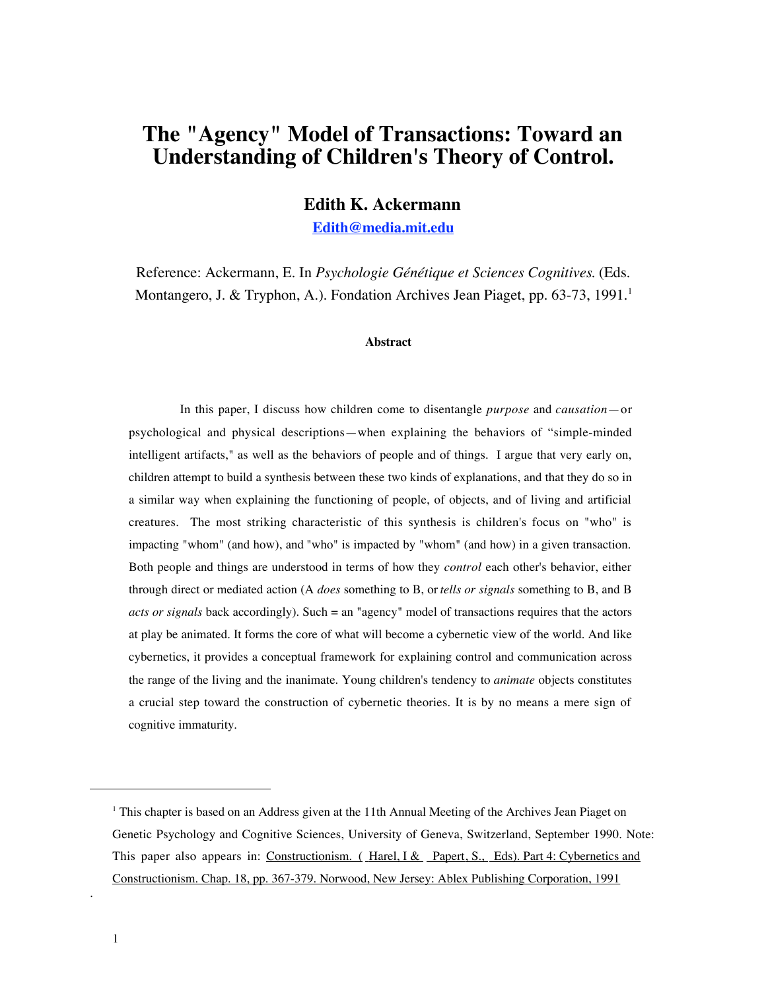# **The "Agency" Model of Transactions: Toward an Understanding of Children's Theory of Control.**

### **Edith K. Ackermann**

**Edith@media.mit.edu**

Reference: Ackermann, E. In *Psychologie Génétique et Sciences Cognitives*. (Eds. Montangero, J. & Tryphon, A.). Fondation Archives Jean Piaget, pp.  $63-73$ , 1991.<sup>1</sup>

#### **Abstract**

In this paper, I discuss how children come to disentangle *purpose* and *causation*—or psychological and physical descriptions—when explaining the behaviors of "simple-minded intelligent artifacts," as well as the behaviors of people and of things. I argue that very early on, children attempt to build a synthesis between these two kinds of explanations, and that they do so in a similar way when explaining the functioning of people, of objects, and of living and artificial creatures. The most striking characteristic of this synthesis is children's focus on "who" is impacting "whom" (and how), and "who" is impacted by "whom" (and how) in a given transaction. Both people and things are understood in terms of how they *control* each other's behavior, either through direct or mediated action (A *does* something to B, or *tells or signals* something to B, and B *acts or signals* back accordingly). Such = an "agency" model of transactions requires that the actors at play be animated. It forms the core of what will become a cybernetic view of the world. And like cybernetics, it provides a conceptual framework for explaining control and communication across the range of the living and the inanimate. Young children's tendency to *animate* objects constitutes a crucial step toward the construction of cybernetic theories. It is by no means a mere sign of cognitive immaturity.

 $\overline{a}$ 

.

<sup>&</sup>lt;sup>1</sup> This chapter is based on an Address given at the 11th Annual Meeting of the Archives Jean Piaget on Genetic Psychology and Cognitive Sciences, University of Geneva, Switzerland, September 1990. Note: This paper also appears in: Constructionism. (Harel, I & Papert, S., Eds). Part 4: Cybernetics and Constructionism. Chap. 18, pp. 367-379. Norwood, New Jersey: Ablex Publishing Corporation, 1991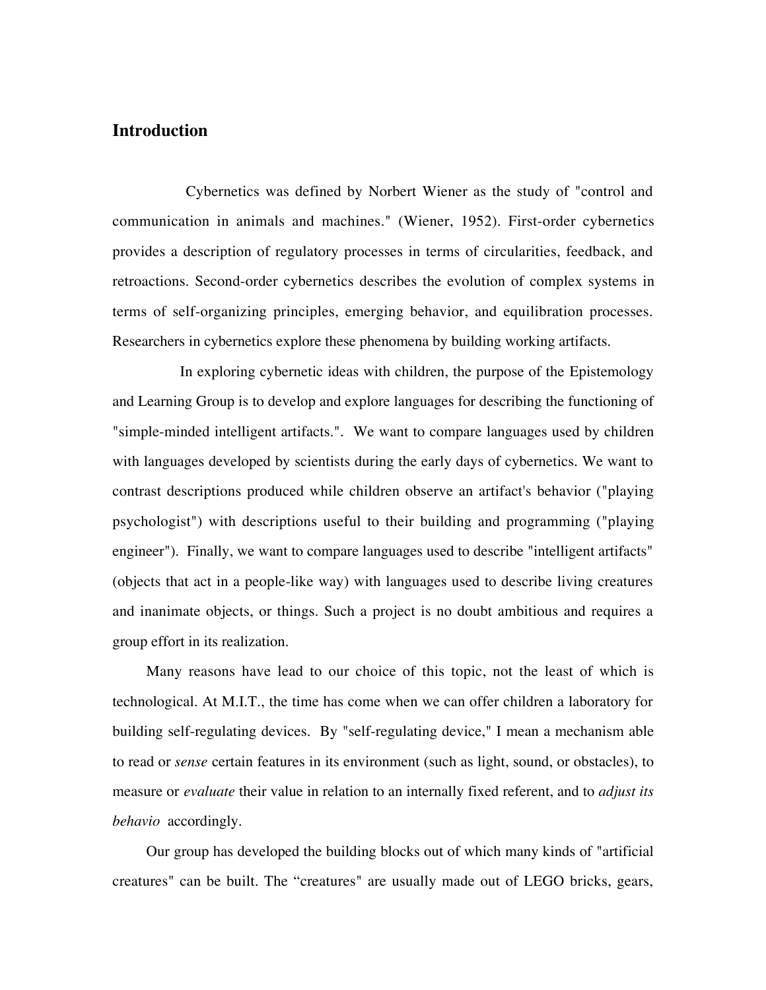## **Introduction**

Cybernetics was defined by Norbert Wiener as the study of "control and communication in animals and machines." (Wiener, 1952). First-order cybernetics provides a description of regulatory processes in terms of circularities, feedback, and retroactions. Second-order cybernetics describes the evolution of complex systems in terms of self-organizing principles, emerging behavior, and equilibration processes. Researchers in cybernetics explore these phenomena by building working artifacts.

In exploring cybernetic ideas with children, the purpose of the Epistemology and Learning Group is to develop and explore languages for describing the functioning of "simple-minded intelligent artifacts.". We want to compare languages used by children with languages developed by scientists during the early days of cybernetics. We want to contrast descriptions produced while children observe an artifact's behavior ("playing psychologist") with descriptions useful to their building and programming ("playing engineer"). Finally, we want to compare languages used to describe "intelligent artifacts" (objects that act in a people-like way) with languages used to describe living creatures and inanimate objects, or things. Such a project is no doubt ambitious and requires a group effort in its realization.

Many reasons have lead to our choice of this topic, not the least of which is technological. At M.I.T., the time has come when we can offer children a laboratory for building self-regulating devices. By "self-regulating device," I mean a mechanism able to read or *sense* certain features in its environment (such as light, sound, or obstacles), to measure or *evaluate* their value in relation to an internally fixed referent, and to *adjust its behavio* accordingly.

Our group has developed the building blocks out of which many kinds of "artificial creatures" can be built. The "creatures" are usually made out of LEGO bricks, gears,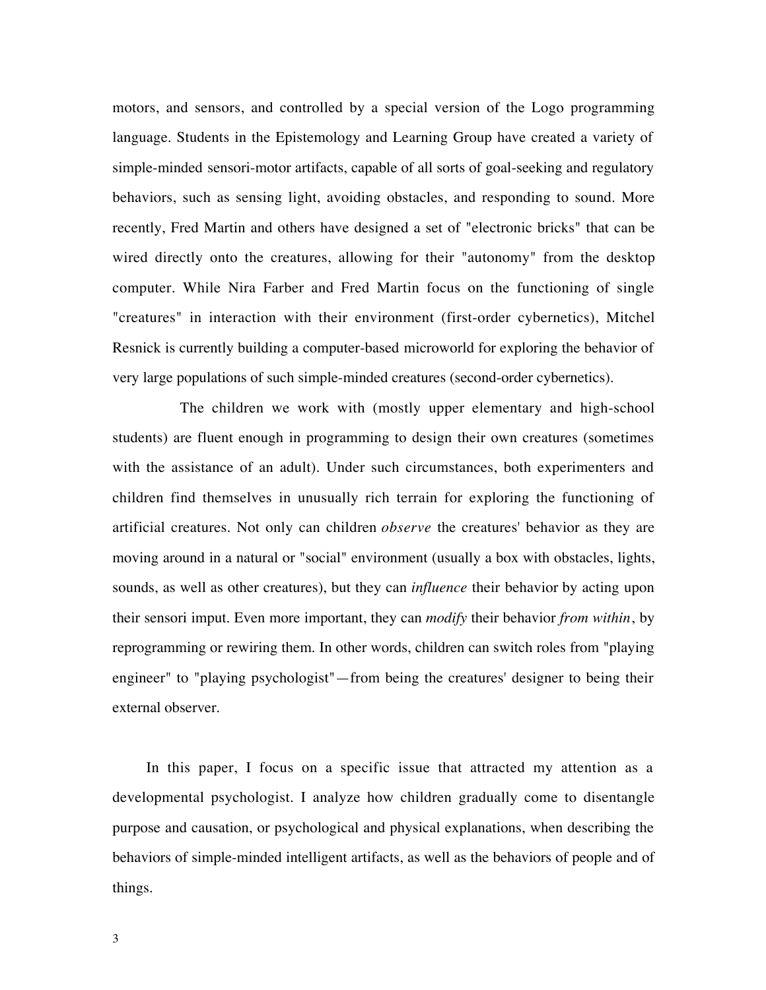motors, and sensors, and controlled by a special version of the Logo programming language. Students in the Epistemology and Learning Group have created a variety of simple-minded sensori-motor artifacts, capable of all sorts of goal-seeking and regulatory behaviors, such as sensing light, avoiding obstacles, and responding to sound. More recently, Fred Martin and others have designed a set of "electronic bricks" that can be wired directly onto the creatures, allowing for their "autonomy" from the desktop computer. While Nira Farber and Fred Martin focus on the functioning of single "creatures" in interaction with their environment (first-order cybernetics), Mitchel Resnick is currently building a computer-based microworld for exploring the behavior of very large populations of such simple-minded creatures (second-order cybernetics).

The children we work with (mostly upper elementary and high-school students) are fluent enough in programming to design their own creatures (sometimes with the assistance of an adult). Under such circumstances, both experimenters and children find themselves in unusually rich terrain for exploring the functioning of artificial creatures. Not only can children *observe* the creatures' behavior as they are moving around in a natural or "social" environment (usually a box with obstacles, lights, sounds, as well as other creatures), but they can *influence* their behavior by acting upon their sensori imput. Even more important, they can *modify* their behavior *from within*, by reprogramming or rewiring them. In other words, children can switch roles from "playing engineer" to "playing psychologist"—from being the creatures' designer to being their external observer.

In this paper, I focus on a specific issue that attracted my attention as a developmental psychologist. I analyze how children gradually come to disentangle purpose and causation, or psychological and physical explanations, when describing the behaviors of simple-minded intelligent artifacts, as well as the behaviors of people and of things.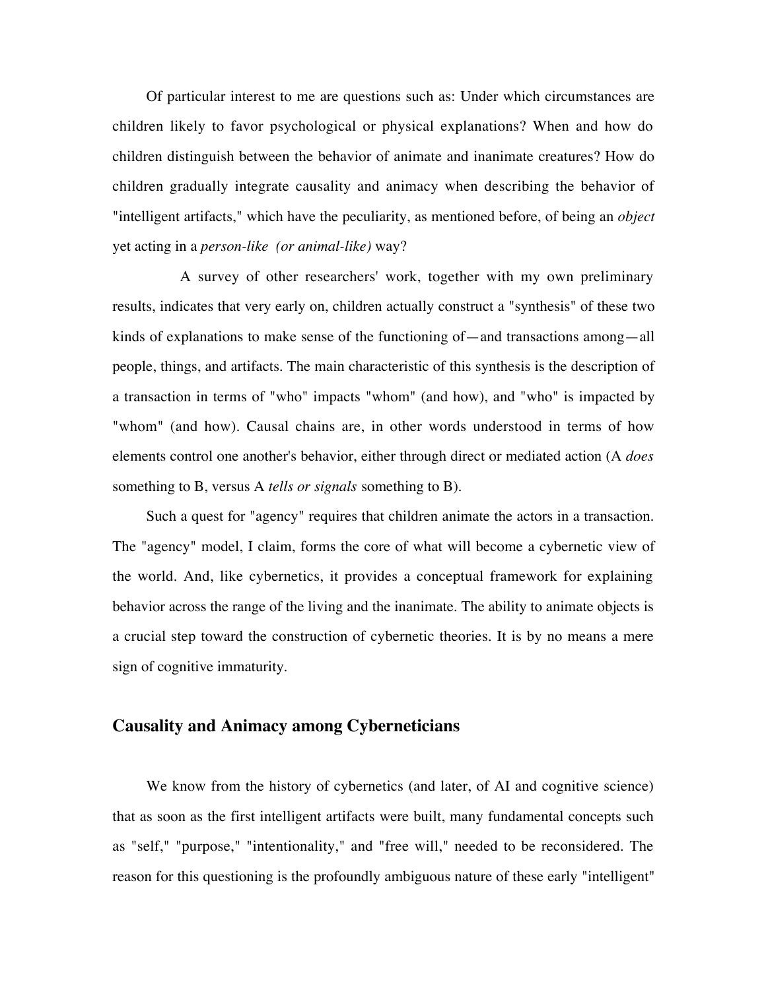Of particular interest to me are questions such as: Under which circumstances are children likely to favor psychological or physical explanations? When and how do children distinguish between the behavior of animate and inanimate creatures? How do children gradually integrate causality and animacy when describing the behavior of "intelligent artifacts," which have the peculiarity, as mentioned before, of being an *object* yet acting in a *person-like (or animal-like)* way?

A survey of other researchers' work, together with my own preliminary results, indicates that very early on, children actually construct a "synthesis" of these two kinds of explanations to make sense of the functioning of—and transactions among—all people, things, and artifacts. The main characteristic of this synthesis is the description of a transaction in terms of "who" impacts "whom" (and how), and "who" is impacted by "whom" (and how). Causal chains are, in other words understood in terms of how elements control one another's behavior, either through direct or mediated action (A *does* something to B, versus A *tells or signals* something to B).

Such a quest for "agency" requires that children animate the actors in a transaction. The "agency" model, I claim, forms the core of what will become a cybernetic view of the world. And, like cybernetics, it provides a conceptual framework for explaining behavior across the range of the living and the inanimate. The ability to animate objects is a crucial step toward the construction of cybernetic theories. It is by no means a mere sign of cognitive immaturity.

#### **Causality and Animacy among Cyberneticians**

We know from the history of cybernetics (and later, of AI and cognitive science) that as soon as the first intelligent artifacts were built, many fundamental concepts such as "self," "purpose," "intentionality," and "free will," needed to be reconsidered. The reason for this questioning is the profoundly ambiguous nature of these early "intelligent"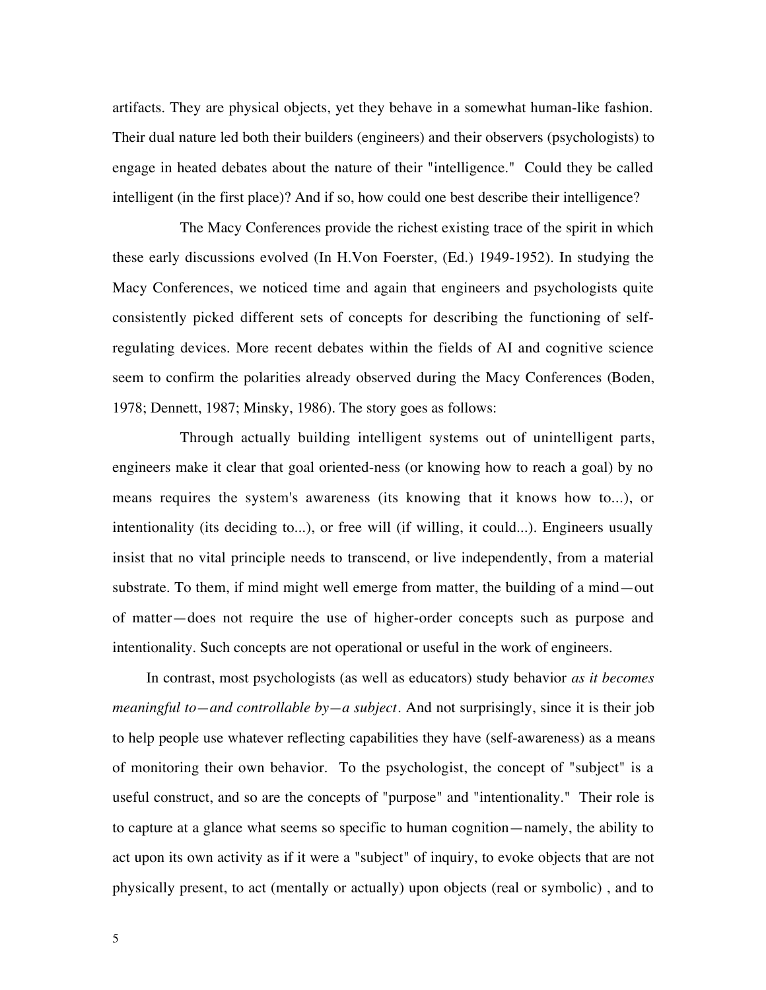artifacts. They are physical objects, yet they behave in a somewhat human-like fashion. Their dual nature led both their builders (engineers) and their observers (psychologists) to engage in heated debates about the nature of their "intelligence." Could they be called intelligent (in the first place)? And if so, how could one best describe their intelligence?

The Macy Conferences provide the richest existing trace of the spirit in which these early discussions evolved (In H.Von Foerster, (Ed.) 1949-1952). In studying the Macy Conferences, we noticed time and again that engineers and psychologists quite consistently picked different sets of concepts for describing the functioning of selfregulating devices. More recent debates within the fields of AI and cognitive science seem to confirm the polarities already observed during the Macy Conferences (Boden, 1978; Dennett, 1987; Minsky, 1986). The story goes as follows:

Through actually building intelligent systems out of unintelligent parts, engineers make it clear that goal oriented-ness (or knowing how to reach a goal) by no means requires the system's awareness (its knowing that it knows how to...), or intentionality (its deciding to...), or free will (if willing, it could...). Engineers usually insist that no vital principle needs to transcend, or live independently, from a material substrate. To them, if mind might well emerge from matter, the building of a mind—out of matter—does not require the use of higher-order concepts such as purpose and intentionality. Such concepts are not operational or useful in the work of engineers.

In contrast, most psychologists (as well as educators) study behavior *as it becomes meaningful to—and controllable by—a subject*. And not surprisingly, since it is their job to help people use whatever reflecting capabilities they have (self-awareness) as a means of monitoring their own behavior. To the psychologist, the concept of "subject" is a useful construct, and so are the concepts of "purpose" and "intentionality." Their role is to capture at a glance what seems so specific to human cognition—namely, the ability to act upon its own activity as if it were a "subject" of inquiry, to evoke objects that are not physically present, to act (mentally or actually) upon objects (real or symbolic) , and to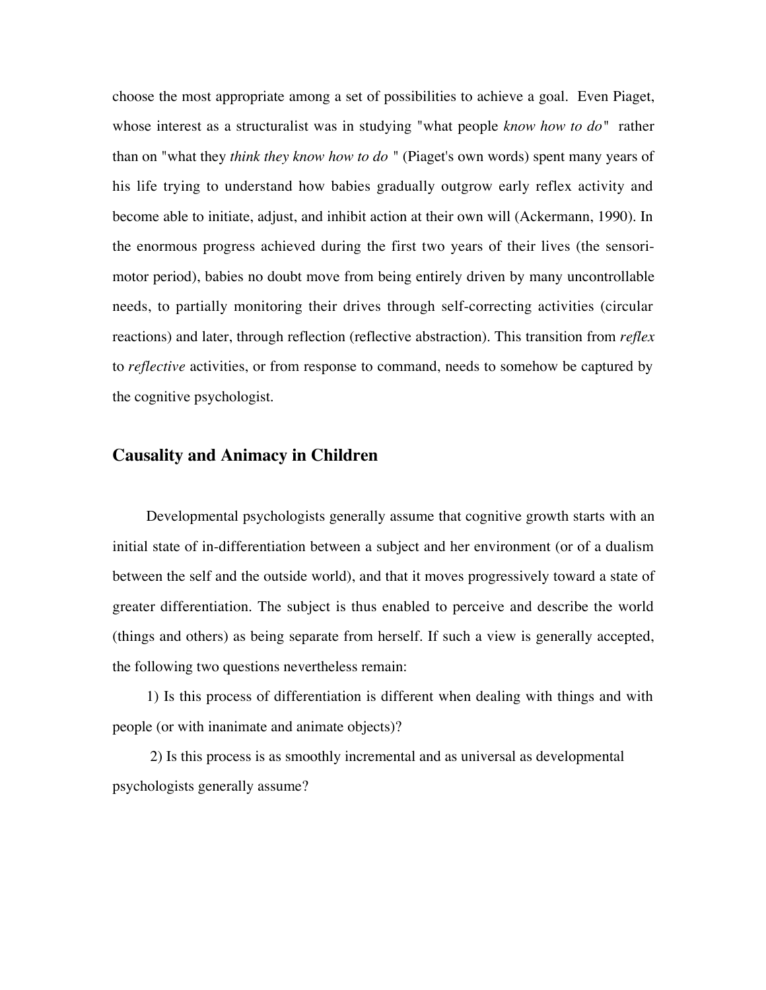choose the most appropriate among a set of possibilities to achieve a goal. Even Piaget, whose interest as a structuralist was in studying "what people *know how to do"* rather than on "what they *think they know how to do* " (Piaget's own words) spent many years of his life trying to understand how babies gradually outgrow early reflex activity and become able to initiate, adjust, and inhibit action at their own will (Ackermann, 1990). In the enormous progress achieved during the first two years of their lives (the sensorimotor period), babies no doubt move from being entirely driven by many uncontrollable needs, to partially monitoring their drives through self-correcting activities (circular reactions) and later, through reflection (reflective abstraction). This transition from *reflex* to *reflective* activities, or from response to command, needs to somehow be captured by the cognitive psychologist.

#### **Causality and Animacy in Children**

Developmental psychologists generally assume that cognitive growth starts with an initial state of in-differentiation between a subject and her environment (or of a dualism between the self and the outside world), and that it moves progressively toward a state of greater differentiation. The subject is thus enabled to perceive and describe the world (things and others) as being separate from herself. If such a view is generally accepted, the following two questions nevertheless remain:

1) Is this process of differentiation is different when dealing with things and with people (or with inanimate and animate objects)?

 2) Is this process is as smoothly incremental and as universal as developmental psychologists generally assume?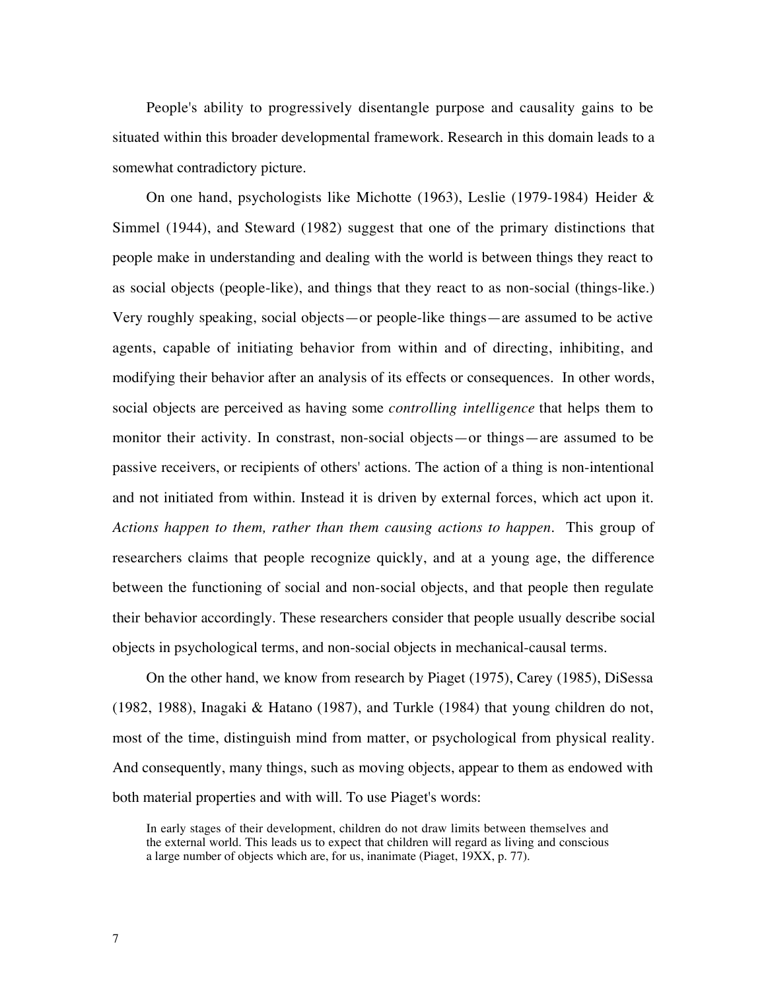People's ability to progressively disentangle purpose and causality gains to be situated within this broader developmental framework. Research in this domain leads to a somewhat contradictory picture.

On one hand, psychologists like Michotte (1963), Leslie (1979-1984) Heider & Simmel (1944), and Steward (1982) suggest that one of the primary distinctions that people make in understanding and dealing with the world is between things they react to as social objects (people-like), and things that they react to as non-social (things-like.) Very roughly speaking, social objects—or people-like things—are assumed to be active agents, capable of initiating behavior from within and of directing, inhibiting, and modifying their behavior after an analysis of its effects or consequences. In other words, social objects are perceived as having some *controlling intelligence* that helps them to monitor their activity. In constrast, non-social objects—or things—are assumed to be passive receivers, or recipients of others' actions. The action of a thing is non-intentional and not initiated from within. Instead it is driven by external forces, which act upon it. *Actions happen to them, rather than them causing actions to happen.* This group of researchers claims that people recognize quickly, and at a young age, the difference between the functioning of social and non-social objects, and that people then regulate their behavior accordingly. These researchers consider that people usually describe social objects in psychological terms, and non-social objects in mechanical-causal terms.

On the other hand, we know from research by Piaget (1975), Carey (1985), DiSessa (1982, 1988), Inagaki & Hatano (1987), and Turkle (1984) that young children do not, most of the time, distinguish mind from matter, or psychological from physical reality. And consequently, many things, such as moving objects, appear to them as endowed with both material properties and with will. To use Piaget's words:

In early stages of their development, children do not draw limits between themselves and the external world. This leads us to expect that children will regard as living and conscious a large number of objects which are, for us, inanimate (Piaget, 19XX, p. 77).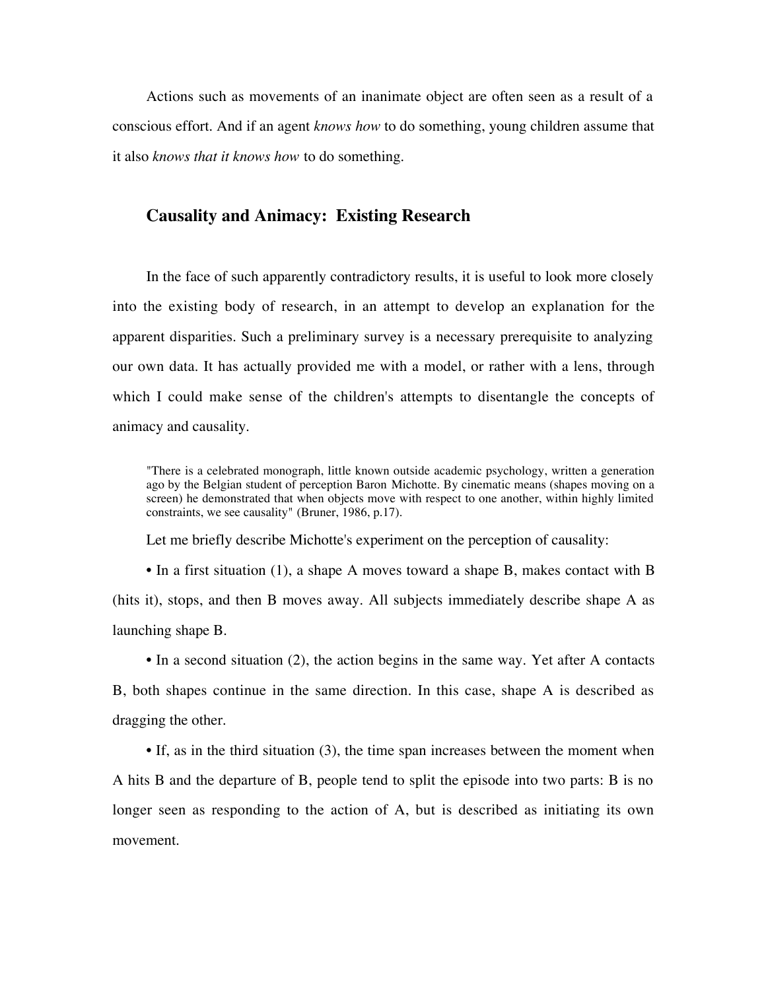Actions such as movements of an inanimate object are often seen as a result of a conscious effort. And if an agent *knows how* to do something, young children assume that it also *knows that it knows how* to do something.

#### **Causality and Animacy: Existing Research**

In the face of such apparently contradictory results, it is useful to look more closely into the existing body of research, in an attempt to develop an explanation for the apparent disparities. Such a preliminary survey is a necessary prerequisite to analyzing our own data. It has actually provided me with a model, or rather with a lens, through which I could make sense of the children's attempts to disentangle the concepts of animacy and causality.

"There is a celebrated monograph, little known outside academic psychology, written a generation ago by the Belgian student of perception Baron Michotte. By cinematic means (shapes moving on a screen) he demonstrated that when objects move with respect to one another, within highly limited constraints, we see causality" (Bruner, 1986, p.17).

Let me briefly describe Michotte's experiment on the perception of causality:

• In a first situation (1), a shape A moves toward a shape B, makes contact with B (hits it), stops, and then B moves away. All subjects immediately describe shape A as launching shape B.

• In a second situation (2), the action begins in the same way. Yet after A contacts B, both shapes continue in the same direction. In this case, shape A is described as dragging the other.

• If, as in the third situation (3), the time span increases between the moment when A hits B and the departure of B, people tend to split the episode into two parts: B is no longer seen as responding to the action of A, but is described as initiating its own movement.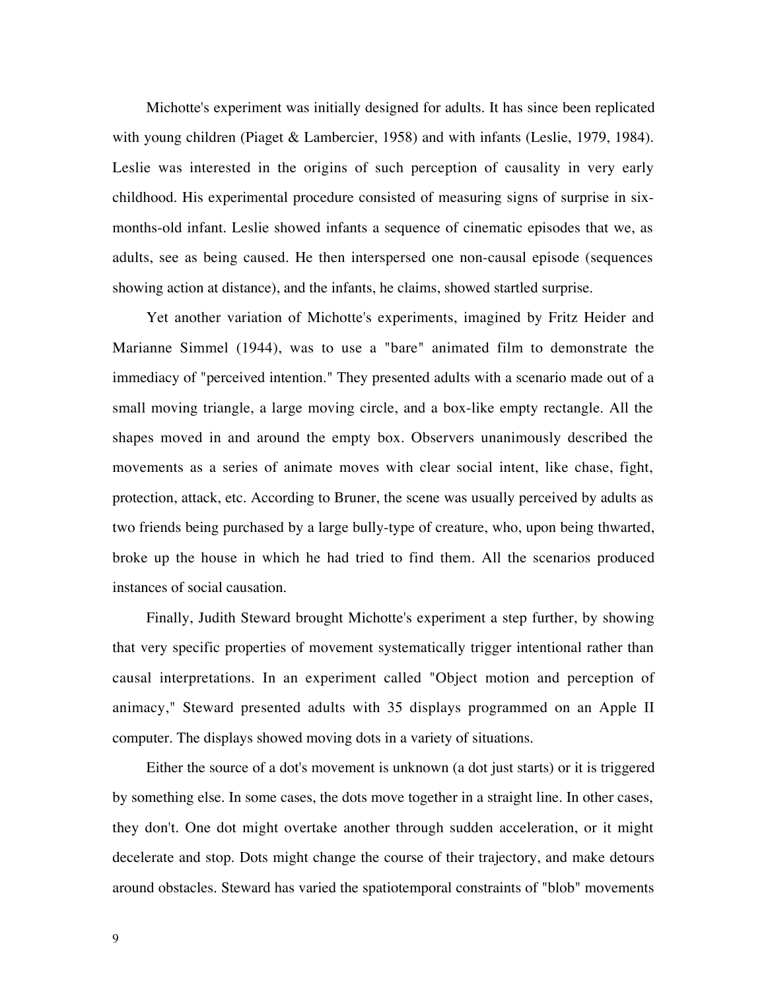Michotte's experiment was initially designed for adults. It has since been replicated with young children (Piaget & Lambercier, 1958) and with infants (Leslie, 1979, 1984). Leslie was interested in the origins of such perception of causality in very early childhood. His experimental procedure consisted of measuring signs of surprise in sixmonths-old infant. Leslie showed infants a sequence of cinematic episodes that we, as adults, see as being caused. He then interspersed one non-causal episode (sequences showing action at distance), and the infants, he claims, showed startled surprise.

Yet another variation of Michotte's experiments, imagined by Fritz Heider and Marianne Simmel (1944), was to use a "bare" animated film to demonstrate the immediacy of "perceived intention." They presented adults with a scenario made out of a small moving triangle, a large moving circle, and a box-like empty rectangle. All the shapes moved in and around the empty box. Observers unanimously described the movements as a series of animate moves with clear social intent, like chase, fight, protection, attack, etc. According to Bruner, the scene was usually perceived by adults as two friends being purchased by a large bully-type of creature, who, upon being thwarted, broke up the house in which he had tried to find them. All the scenarios produced instances of social causation.

Finally, Judith Steward brought Michotte's experiment a step further, by showing that very specific properties of movement systematically trigger intentional rather than causal interpretations. In an experiment called "Object motion and perception of animacy," Steward presented adults with 35 displays programmed on an Apple II computer. The displays showed moving dots in a variety of situations.

Either the source of a dot's movement is unknown (a dot just starts) or it is triggered by something else. In some cases, the dots move together in a straight line. In other cases, they don't. One dot might overtake another through sudden acceleration, or it might decelerate and stop. Dots might change the course of their trajectory, and make detours around obstacles. Steward has varied the spatiotemporal constraints of "blob" movements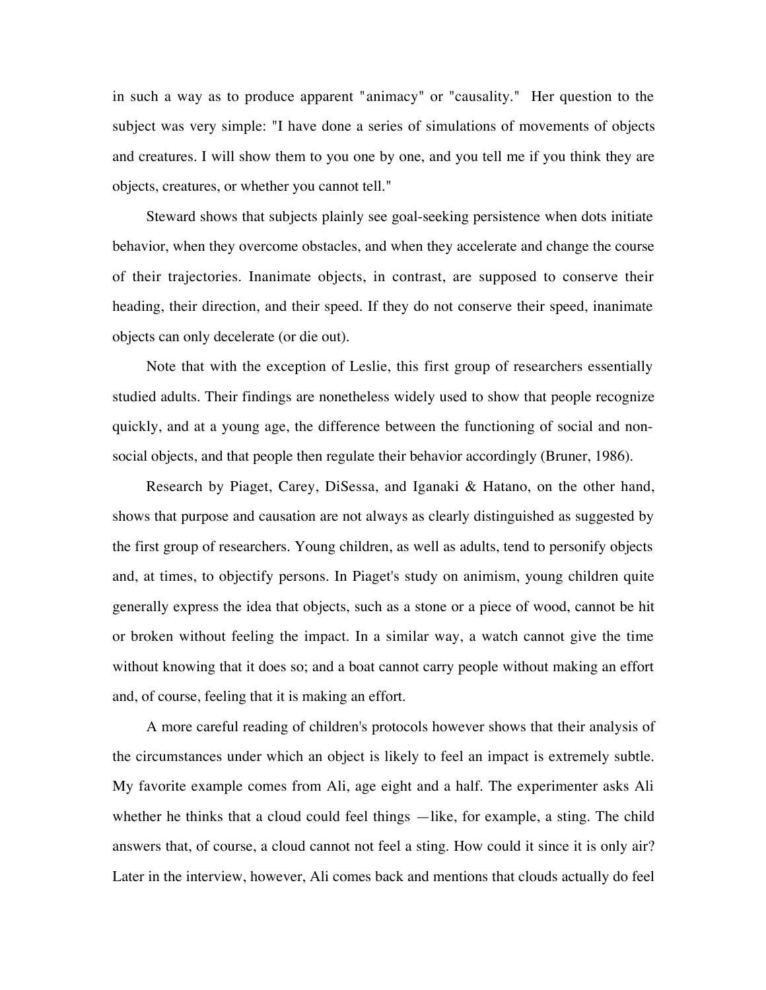in such a way as to produce apparent "animacy" or "causality." Her question to the subject was very simple: "I have done a series of simulations of movements of objects and creatures. I will show them to you one by one, and you tell me if you think they are objects, creatures, or whether you cannot tell."

Steward shows that subjects plainly see goal-seeking persistence when dots initiate behavior, when they overcome obstacles, and when they accelerate and change the course of their trajectories. Inanimate objects, in contrast, are supposed to conserve their heading, their direction, and their speed. If they do not conserve their speed, inanimate objects can only decelerate (or die out).

Note that with the exception of Leslie, this first group of researchers essentially studied adults. Their findings are nonetheless widely used to show that people recognize quickly, and at a young age, the difference between the functioning of social and nonsocial objects, and that people then regulate their behavior accordingly (Bruner, 1986).

Research by Piaget, Carey, DiSessa, and Iganaki & Hatano, on the other hand, shows that purpose and causation are not always as clearly distinguished as suggested by the first group of researchers. Young children, as well as adults, tend to personify objects and, at times, to objectify persons. In Piaget's study on animism, young children quite generally express the idea that objects, such as a stone or a piece of wood, cannot be hit or broken without feeling the impact. In a similar way, a watch cannot give the time without knowing that it does so; and a boat cannot carry people without making an effort and, of course, feeling that it is making an effort.

A more careful reading of children's protocols however shows that their analysis of the circumstances under which an object is likely to feel an impact is extremely subtle. My favorite example comes from Ali, age eight and a half. The experimenter asks Ali whether he thinks that a cloud could feel things —like, for example, a sting. The child answers that, of course, a cloud cannot not feel a sting. How could it since it is only air? Later in the interview, however, Ali comes back and mentions that clouds actually do feel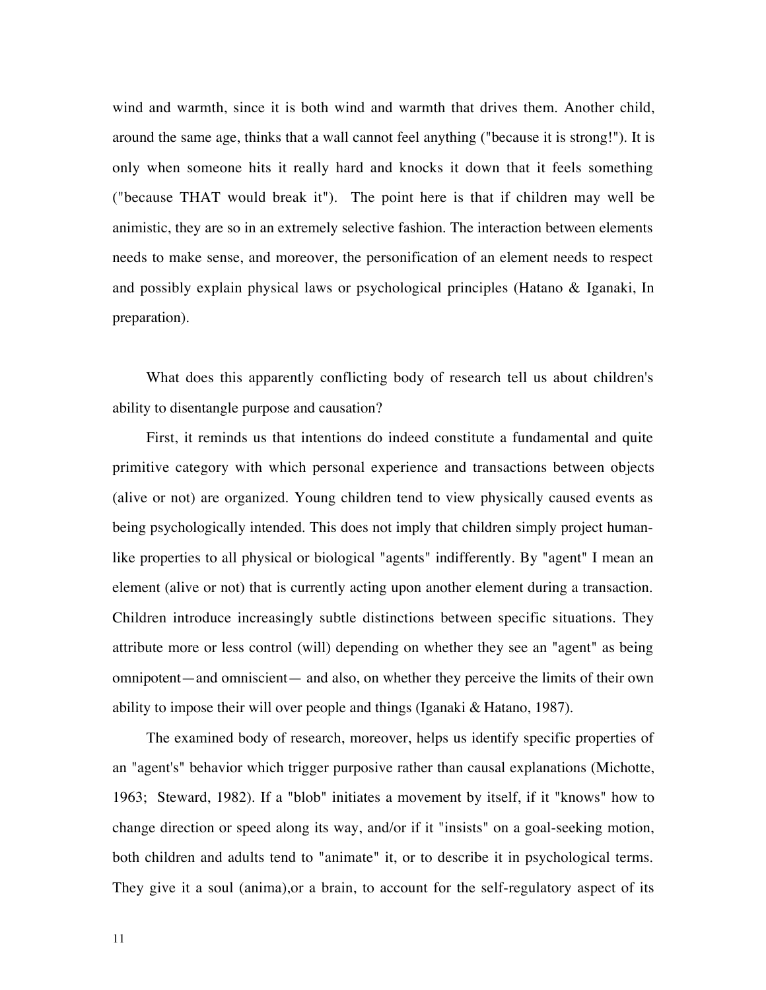wind and warmth, since it is both wind and warmth that drives them. Another child, around the same age, thinks that a wall cannot feel anything ("because it is strong!"). It is only when someone hits it really hard and knocks it down that it feels something ("because THAT would break it"). The point here is that if children may well be animistic, they are so in an extremely selective fashion. The interaction between elements needs to make sense, and moreover, the personification of an element needs to respect and possibly explain physical laws or psychological principles (Hatano & Iganaki, In preparation).

What does this apparently conflicting body of research tell us about children's ability to disentangle purpose and causation?

First, it reminds us that intentions do indeed constitute a fundamental and quite primitive category with which personal experience and transactions between objects (alive or not) are organized. Young children tend to view physically caused events as being psychologically intended. This does not imply that children simply project humanlike properties to all physical or biological "agents" indifferently. By "agent" I mean an element (alive or not) that is currently acting upon another element during a transaction. Children introduce increasingly subtle distinctions between specific situations. They attribute more or less control (will) depending on whether they see an "agent" as being omnipotent—and omniscient— and also, on whether they perceive the limits of their own ability to impose their will over people and things (Iganaki & Hatano, 1987).

The examined body of research, moreover, helps us identify specific properties of an "agent's" behavior which trigger purposive rather than causal explanations (Michotte, 1963; Steward, 1982). If a "blob" initiates a movement by itself, if it "knows" how to change direction or speed along its way, and/or if it "insists" on a goal-seeking motion, both children and adults tend to "animate" it, or to describe it in psychological terms. They give it a soul (anima),or a brain, to account for the self-regulatory aspect of its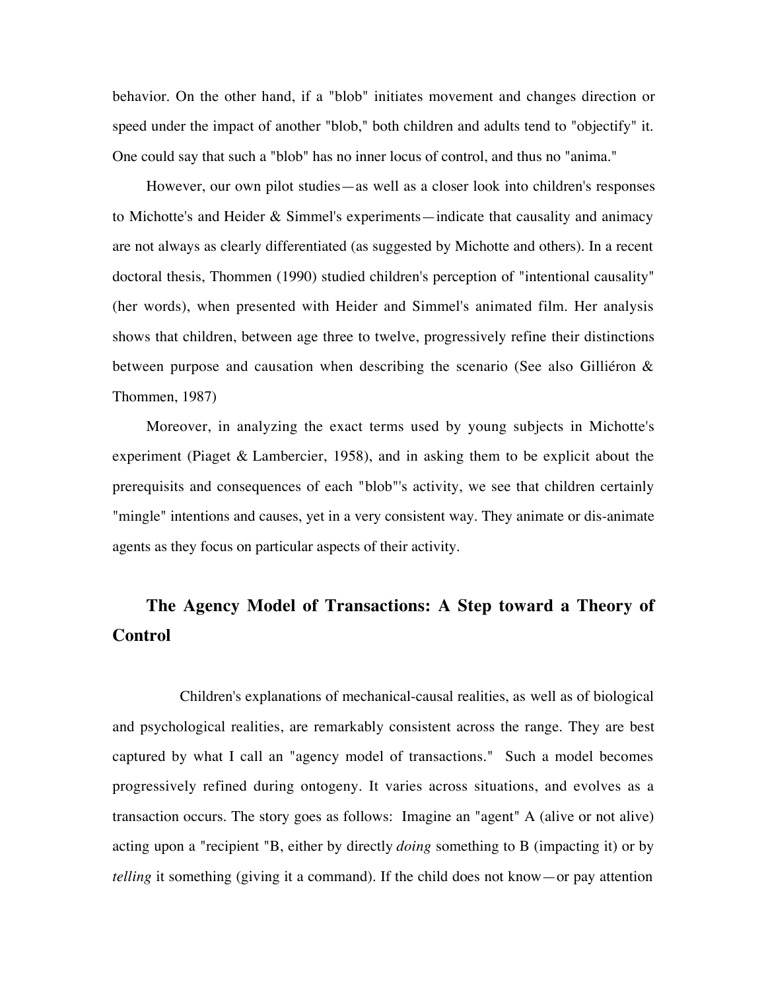behavior. On the other hand, if a "blob" initiates movement and changes direction or speed under the impact of another "blob," both children and adults tend to "objectify" it. One could say that such a "blob" has no inner locus of control, and thus no "anima."

However, our own pilot studies—as well as a closer look into children's responses to Michotte's and Heider & Simmel's experiments—indicate that causality and animacy are not always as clearly differentiated (as suggested by Michotte and others). In a recent doctoral thesis, Thommen (1990) studied children's perception of "intentional causality" (her words), when presented with Heider and Simmel's animated film. Her analysis shows that children, between age three to twelve, progressively refine their distinctions between purpose and causation when describing the scenario (See also Gilliéron & Thommen, 1987)

Moreover, in analyzing the exact terms used by young subjects in Michotte's experiment (Piaget & Lambercier, 1958), and in asking them to be explicit about the prerequisits and consequences of each "blob"'s activity, we see that children certainly "mingle" intentions and causes, yet in a very consistent way. They animate or dis-animate agents as they focus on particular aspects of their activity.

# **The Agency Model of Transactions: A Step toward a Theory of Control**

Children's explanations of mechanical-causal realities, as well as of biological and psychological realities, are remarkably consistent across the range. They are best captured by what I call an "agency model of transactions." Such a model becomes progressively refined during ontogeny. It varies across situations, and evolves as a transaction occurs. The story goes as follows: Imagine an "agent" A (alive or not alive) acting upon a "recipient "B, either by directly *doing* something to B (impacting it) or by *telling* it something (giving it a command). If the child does not know—or pay attention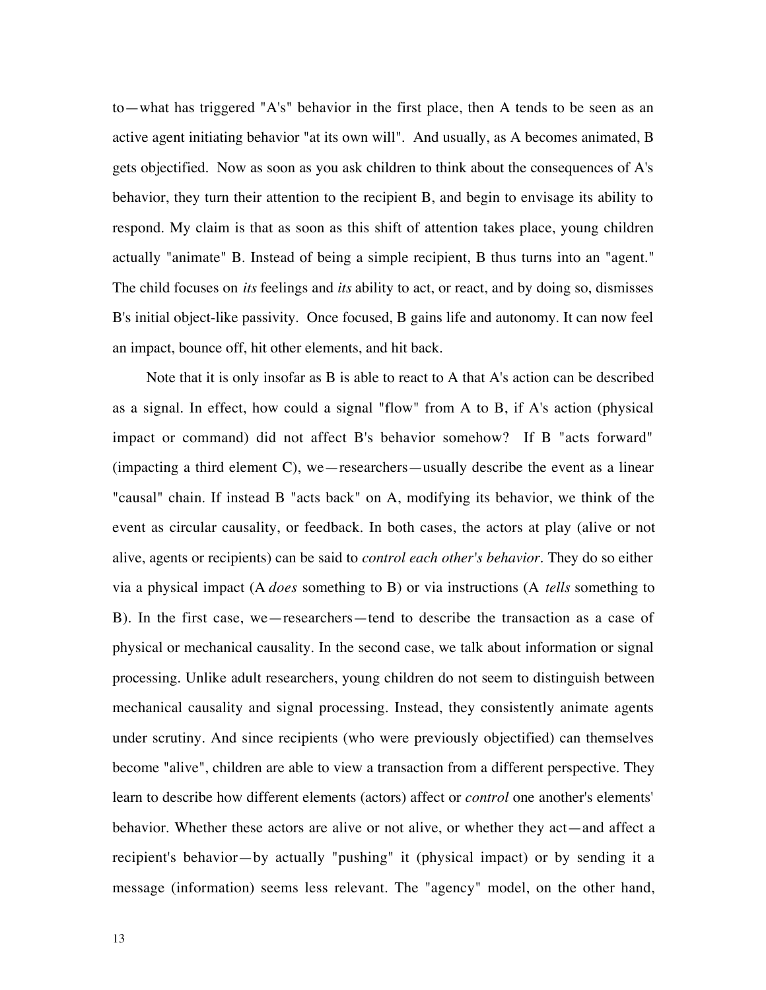to—what has triggered "A's" behavior in the first place, then A tends to be seen as an active agent initiating behavior "at its own will". And usually, as A becomes animated, B gets objectified. Now as soon as you ask children to think about the consequences of A's behavior, they turn their attention to the recipient B, and begin to envisage its ability to respond. My claim is that as soon as this shift of attention takes place, young children actually "animate" B. Instead of being a simple recipient, B thus turns into an "agent." The child focuses on *its* feelings and *its* ability to act, or react, and by doing so, dismisses B's initial object-like passivity. Once focused, B gains life and autonomy. It can now feel an impact, bounce off, hit other elements, and hit back.

Note that it is only insofar as B is able to react to A that A's action can be described as a signal. In effect, how could a signal "flow" from A to B, if A's action (physical impact or command) did not affect B's behavior somehow? If B "acts forward" (impacting a third element C), we—researchers—usually describe the event as a linear "causal" chain. If instead B "acts back" on A, modifying its behavior, we think of the event as circular causality, or feedback. In both cases, the actors at play (alive or not alive, agents or recipients) can be said to *control each other's behavior.* They do so either via a physical impact (A *does* something to B) or via instructions (A *tells* something to B). In the first case, we—researchers—tend to describe the transaction as a case of physical or mechanical causality. In the second case, we talk about information or signal processing. Unlike adult researchers, young children do not seem to distinguish between mechanical causality and signal processing. Instead, they consistently animate agents under scrutiny. And since recipients (who were previously objectified) can themselves become "alive", children are able to view a transaction from a different perspective. They learn to describe how different elements (actors) affect or *control* one another's elements' behavior. Whether these actors are alive or not alive, or whether they act—and affect a recipient's behavior—by actually "pushing" it (physical impact) or by sending it a message (information) seems less relevant. The "agency" model, on the other hand,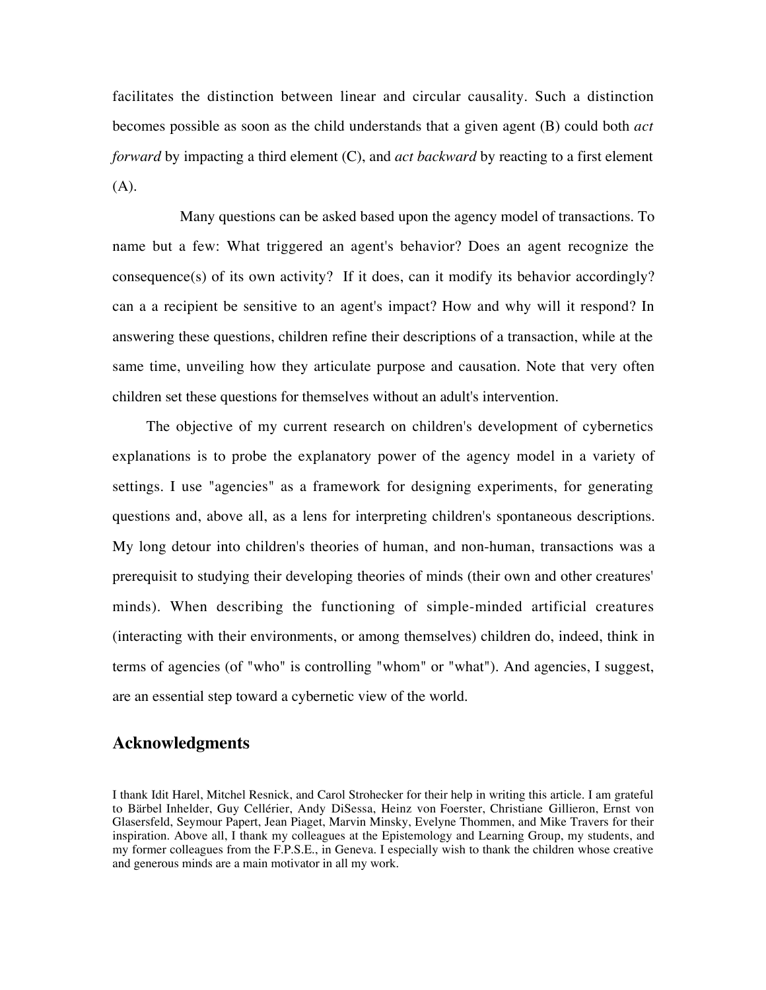facilitates the distinction between linear and circular causality. Such a distinction becomes possible as soon as the child understands that a given agent (B) could both *act forward* by impacting a third element (C), and *act backward* by reacting to a first element (A).

Many questions can be asked based upon the agency model of transactions. To name but a few: What triggered an agent's behavior? Does an agent recognize the consequence(s) of its own activity? If it does, can it modify its behavior accordingly? can a a recipient be sensitive to an agent's impact? How and why will it respond? In answering these questions, children refine their descriptions of a transaction, while at the same time, unveiling how they articulate purpose and causation. Note that very often children set these questions for themselves without an adult's intervention.

The objective of my current research on children's development of cybernetics explanations is to probe the explanatory power of the agency model in a variety of settings. I use "agencies" as a framework for designing experiments, for generating questions and, above all, as a lens for interpreting children's spontaneous descriptions. My long detour into children's theories of human, and non-human, transactions was a prerequisit to studying their developing theories of minds (their own and other creatures' minds). When describing the functioning of simple-minded artificial creatures (interacting with their environments, or among themselves) children do, indeed, think in terms of agencies (of "who" is controlling "whom" or "what"). And agencies, I suggest, are an essential step toward a cybernetic view of the world.

### **Acknowledgments**

I thank Idit Harel, Mitchel Resnick, and Carol Strohecker for their help in writing this article. I am grateful to Bärbel Inhelder, Guy Cellérier, Andy DiSessa, Heinz von Foerster, Christiane Gillieron, Ernst von Glasersfeld, Seymour Papert, Jean Piaget, Marvin Minsky, Evelyne Thommen, and Mike Travers for their inspiration. Above all, I thank my colleagues at the Epistemology and Learning Group, my students, and my former colleagues from the F.P.S.E., in Geneva. I especially wish to thank the children whose creative and generous minds are a main motivator in all my work.